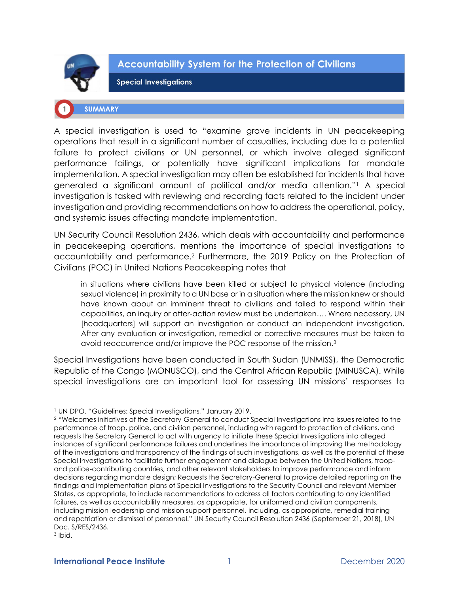

**Accountability System for the Protection of Civilians** 

**Special Investigations** 

## **SUMMARY**

A special investigation is used to "examine grave incidents in UN peacekeeping operations that result in a significant number of casualties, including due to a potential failure to protect civilians or UN personnel, or which involve alleged significant performance failings, or potentially have significant implications for mandate implementation. A special investigation may often be established for incidents that have generated a significant amount of political and/or media attention."<sup>1</sup> A special investigation is tasked with reviewing and recording facts related to the incident under investigation and providing recommendations on how to address the operational, policy, and systemic issues affecting mandate implementation.

UN Security Council Resolution 2436, which deals with accountability and performance in peacekeeping operations, mentions the importance of special investigations to accountability and performance.<sup>2</sup> Furthermore, the 2019 Policy on the Protection of Civilians (POC) in United Nations Peacekeeping notes that

in situations where civilians have been killed or subject to physical violence (including sexual violence) in proximity to a UN base or in a situation where the mission knew or should have known about an imminent threat to civilians and failed to respond within their capabilities, an inquiry or after-action review must be undertaken…. Where necessary, UN [headquarters] will support an investigation or conduct an independent investigation. After any evaluation or investigation, remedial or corrective measures must be taken to avoid reoccurrence and/or improve the POC response of the mission.<sup>3</sup>

Special Investigations have been conducted in South Sudan (UNMISS), the Democratic Republic of the Congo (MONUSCO), and the Central African Republic (MINUSCA). While special investigations are an important tool for assessing UN missions' responses to

<sup>1</sup> UN DPO, "Guidelines: Special Investigations," January 2019.

<sup>2</sup> "Welcomes initiatives of the Secretary-General to conduct Special Investigations into issues related to the performance of troop, police, and civilian personnel, including with regard to protection of civilians, and requests the Secretary General to act with urgency to initiate these Special Investigations into alleged instances of significant performance failures and underlines the importance of improving the methodology of the investigations and transparency of the findings of such investigations, as well as the potential of these Special Investigations to facilitate further engagement and dialogue between the United Nations, troopand police-contributing countries, and other relevant stakeholders to improve performance and inform decisions regarding mandate design; Requests the Secretary-General to provide detailed reporting on the findings and implementation plans of Special Investigations to the Security Council and relevant Member States, as appropriate, to include recommendations to address all factors contributing to any identified failures, as well as accountability measures, as appropriate, for uniformed and civilian components, including mission leadership and mission support personnel, including, as appropriate, remedial training and repatriation or dismissal of personnel." UN Security Council Resolution 2436 (September 21, 2018), UN Doc. S/RES/2436.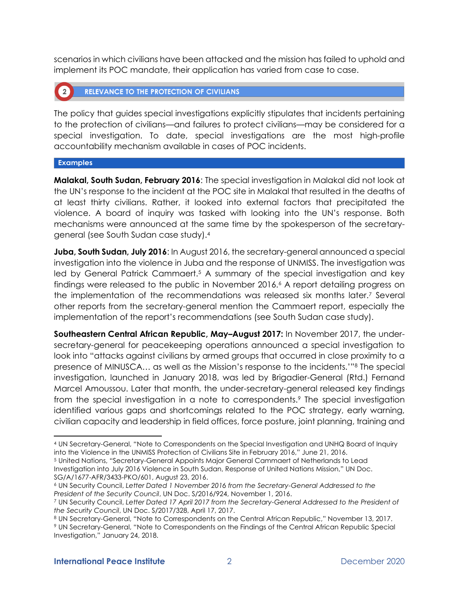scenarios in which civilians have been attacked and the mission has failed to uphold and implement its POC mandate, their application has varied from case to case.

**RELEVANCE TO THE PROTECTION OF CIVILIANS**  $\left( 2 \right)$ 

The policy that guides special investigations explicitly stipulates that incidents pertaining to the protection of civilians—and failures to protect civilians—may be considered for a special investigation. To date, special investigations are the most high-profile accountability mechanism available in cases of POC incidents.

#### **Examples**

**Malakal, South Sudan, February 2016**: The special investigation in Malakal did not look at the UN's response to the incident at the POC site in Malakal that resulted in the deaths of at least thirty civilians. Rather, it looked into external factors that precipitated the violence. A board of inquiry was tasked with looking into the UN's response. Both mechanisms were announced at the same time by the spokesperson of the secretarygeneral (see South Sudan case study).<sup>4</sup>

**Juba, South Sudan, July 2016**: In August 2016, the secretary-general announced a special investigation into the violence in Juba and the response of UNMISS. The investigation was led by General Patrick Cammaert.<sup>5</sup> A summary of the special investigation and key findings were released to the public in November 2016.<sup>6</sup> A report detailing progress on the implementation of the recommendations was released six months later.<sup>7</sup> Several other reports from the secretary-general mention the Cammaert report, especially the implementation of the report's recommendations (see South Sudan case study).

**Southeastern Central African Republic, May–August 2017:** In November 2017, the undersecretary-general for peacekeeping operations announced a special investigation to look into "attacks against civilians by armed groups that occurred in close proximity to a presence of MINUSCA… as well as the Mission's response to the incidents.'"<sup>8</sup> The special investigation, launched in January 2018, was led by Brigadier-General (Rtd.) Fernand Marcel Amoussou. Later that month, the under-secretary-general released key findings from the special investigation in a note to correspondents.<sup>9</sup> The special investigation identified various gaps and shortcomings related to the POC strategy, early warning, civilian capacity and leadership in field offices, force posture, joint planning, training and

<sup>4</sup> UN Secretary-General, "Note to Correspondents on the Special Investigation and UNHQ Board of Inquiry into the Violence in the UNMISS Protection of Civilians Site in February 2016," June 21, 2016. <sup>5</sup> United Nations, "Secretary-General Appoints Major General Cammaert of Netherlands to Lead Investigation into July 2016 Violence in South Sudan, Response of United Nations Mission," UN Doc. SG/A/1677-AFR/3433-PKO/601, August 23, 2016.

<sup>6</sup> UN Security Council, *Letter Dated 1 November 2016 from the Secretary-General Addressed to the President of the Security Council*, UN Doc. S/2016/924, November 1, 2016.

<sup>7</sup> UN Security Council, *Letter Dated 17 April 2017 from the Secretary-General Addressed to the President of the Security Council*, UN Doc. S/2017/328, April 17, 2017.

<sup>8</sup> UN Secretary-General, "Note to Correspondents on the Central African Republic," November 13, 2017.

<sup>9</sup> UN Secretary-General, "Note to Correspondents on the Findings of the Central African Republic Special Investigation," January 24, 2018.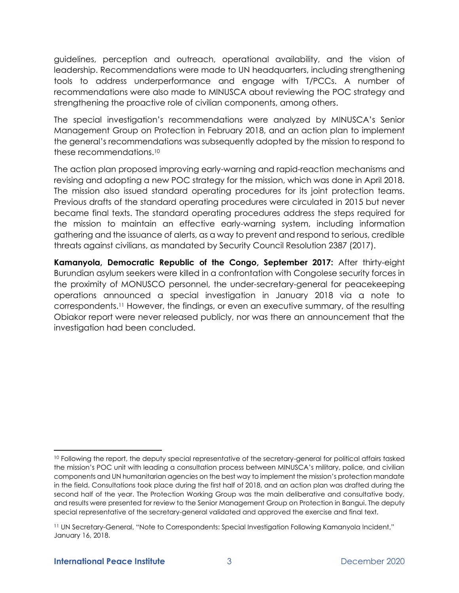guidelines, perception and outreach, operational availability, and the vision of leadership. Recommendations were made to UN headquarters, including strengthening tools to address underperformance and engage with T/PCCs. A number of recommendations were also made to MINUSCA about reviewing the POC strategy and strengthening the proactive role of civilian components, among others.

The special investigation's recommendations were analyzed by MINUSCA's Senior Management Group on Protection in February 2018, and an action plan to implement the general's recommendations was subsequently adopted by the mission to respond to these recommendations.<sup>10</sup>

The action plan proposed improving early-warning and rapid-reaction mechanisms and revising and adopting a new POC strategy for the mission, which was done in April 2018. The mission also issued standard operating procedures for its joint protection teams. Previous drafts of the standard operating procedures were circulated in 2015 but never became final texts. The standard operating procedures address the steps required for the mission to maintain an effective early-warning system, including information gathering and the issuance of alerts, as a way to prevent and respond to serious, credible threats against civilians, as mandated by Security Council Resolution 2387 (2017).

**Kamanyola, Democratic Republic of the Congo, September 2017:** After thirty-eight Burundian asylum seekers were killed in a confrontation with Congolese security forces in the proximity of MONUSCO personnel, the under-secretary-general for peacekeeping operations announced a special investigation in January 2018 via a note to correspondents.<sup>11</sup> However, the findings, or even an executive summary, of the resulting Obiakor report were never released publicly, nor was there an announcement that the investigation had been concluded.

<sup>&</sup>lt;sup>10</sup> Following the report, the deputy special representative of the secretary-general for political affairs tasked the mission's POC unit with leading a consultation process between MINUSCA's military, police, and civilian components and UN humanitarian agencies on the best way to implement the mission's protection mandate in the field. Consultations took place during the first half of 2018, and an action plan was drafted during the second half of the year. The Protection Working Group was the main deliberative and consultative body, and results were presented for review to the Senior Management Group on Protection in Bangui. The deputy special representative of the secretary-general validated and approved the exercise and final text.

<sup>11</sup> UN Secretary-General, "Note to Correspondents: Special Investigation Following Kamanyola Incident," January 16, 2018.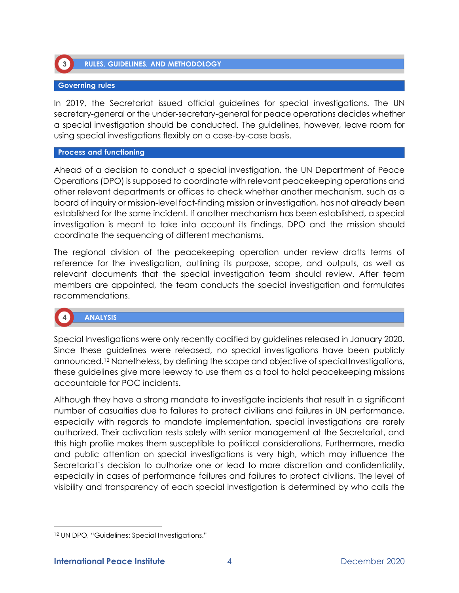

**RULES, GUIDELINES, AND METHODOLOGY** 

## **Governing rules**

In 2019, the Secretariat issued official guidelines for special investigations. The UN secretary-general or the under-secretary-general for peace operations decides whether a special investigation should be conducted. The guidelines, however, leave room for using special investigations flexibly on a case-by-case basis.

## **Process and functioning**

Ahead of a decision to conduct a special investigation, the UN Department of Peace Operations (DPO) is supposed to coordinate with relevant peacekeeping operations and other relevant departments or offices to check whether another mechanism, such as a board of inquiry or mission-level fact-finding mission or investigation, has not already been established for the same incident. If another mechanism has been established, a special investigation is meant to take into account its findings. DPO and the mission should coordinate the sequencing of different mechanisms.

The regional division of the peacekeeping operation under review drafts terms of reference for the investigation, outlining its purpose, scope, and outputs, as well as relevant documents that the special investigation team should review. After team members are appointed, the team conducts the special investigation and formulates recommendations.

# **ANALYSIS**

Special Investigations were only recently codified by guidelines released in January 2020. Since these guidelines were released, no special investigations have been publicly announced.<sup>12</sup> Nonetheless, by defining the scope and objective of special Investigations, these guidelines give more leeway to use them as a tool to hold peacekeeping missions accountable for POC incidents.

Although they have a strong mandate to investigate incidents that result in a significant number of casualties due to failures to protect civilians and failures in UN performance, especially with regards to mandate implementation, special investigations are rarely authorized. Their activation rests solely with senior management at the Secretariat, and this high profile makes them susceptible to political considerations. Furthermore, media and public attention on special investigations is very high, which may influence the Secretariat's decision to authorize one or lead to more discretion and confidentiality, especially in cases of performance failures and failures to protect civilians. The level of visibility and transparency of each special investigation is determined by who calls the

<sup>12</sup> UN DPO, "Guidelines: Special Investigations."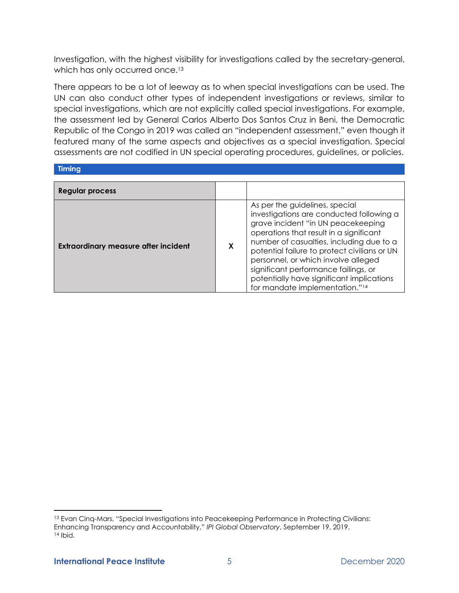Investigation, with the highest visibility for investigations called by the secretary-general, which has only occurred once.<sup>13</sup>

There appears to be a lot of leeway as to when special investigations can be used. The UN can also conduct other types of independent investigations or reviews, similar to special investigations, which are not explicitly called special investigations. For example, the assessment led by General Carlos Alberto Dos Santos Cruz in Beni, the Democratic Republic of the Congo in 2019 was called an "independent assessment," even though it featured many of the same aspects and objectives as a special investigation. Special assessments are not codified in UN special operating procedures, guidelines, or policies.

| <b>Timina</b>                               |   |                                                                                                                                                                                                                                                                                                                                                                                                                                   |
|---------------------------------------------|---|-----------------------------------------------------------------------------------------------------------------------------------------------------------------------------------------------------------------------------------------------------------------------------------------------------------------------------------------------------------------------------------------------------------------------------------|
|                                             |   |                                                                                                                                                                                                                                                                                                                                                                                                                                   |
| Regular process                             |   |                                                                                                                                                                                                                                                                                                                                                                                                                                   |
| <b>Extraordinary measure after incident</b> | X | As per the guidelines, special<br>investigations are conducted following a<br>grave incident "in UN peacekeeping<br>operations that result in a significant<br>number of casualties, including due to a<br>potential failure to protect civilians or UN<br>personnel, or which involve alleged<br>significant performance failings, or<br>potentially have significant implications<br>for mandate implementation." <sup>14</sup> |

<sup>13</sup> Evan Cinq-Mars, "Special Investigations into Peacekeeping Performance in Protecting Civilians: Enhancing Transparency and Accountability," *IPI Global Observatory*, September 19, 2019. <sup>14</sup> Ibid.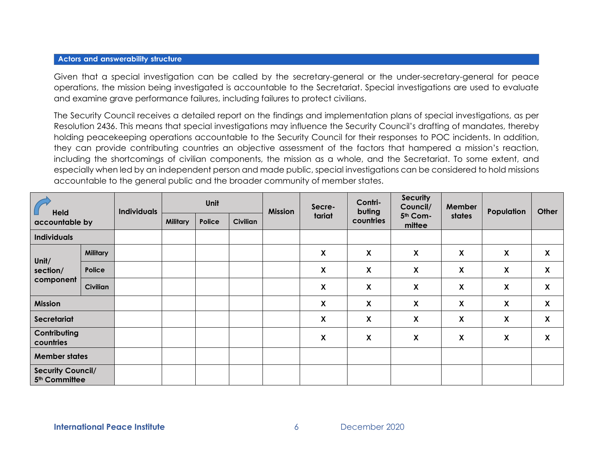## **Actors and answerability structure**

Given that a special investigation can be called by the secretary-general or the under-secretary-general for peace operations, the mission being investigated is accountable to the Secretariat. Special investigations are used to evaluate and examine grave performance failures, including failures to protect civilians.

The Security Council receives a detailed report on the findings and implementation plans of special investigations, as per Resolution 2436. This means that special investigations may influence the Security Council's drafting of mandates, thereby holding peacekeeping operations accountable to the Security Council for their responses to POC incidents. In addition, they can provide contributing countries an objective assessment of the factors that hampered a mission's reaction, including the shortcomings of civilian components, the mission as a whole, and the Secretariat. To some extent, and especially when led by an independent person and made public, special investigations can be considered to hold missions accountable to the general public and the broader community of member states.

| Held<br>accountable by                                |                 | <b>Individuals</b> | Unit            |        | <b>Mission</b> | Secre- | Contri-<br>buting         | <b>Security</b><br>Council/ | Member             | Population                | Other                     |                    |
|-------------------------------------------------------|-----------------|--------------------|-----------------|--------|----------------|--------|---------------------------|-----------------------------|--------------------|---------------------------|---------------------------|--------------------|
|                                                       |                 |                    | <b>Military</b> | Police | Civilian       |        | tariat                    | countries                   | 5th Com-<br>mittee | states                    |                           |                    |
| <b>Individuals</b>                                    |                 |                    |                 |        |                |        |                           |                             |                    |                           |                           |                    |
| Unit/<br>section/<br>component                        | <b>Military</b> |                    |                 |        |                |        | X                         | $\pmb{\mathsf{X}}$          | $\mathsf{X}$       | $\pmb{\mathsf{X}}$        | $\boldsymbol{\mathsf{X}}$ | $\pmb{\mathsf{X}}$ |
|                                                       | Police          |                    |                 |        |                |        | $\boldsymbol{\mathsf{X}}$ | $\boldsymbol{\mathsf{X}}$   | $\mathsf{X}$       | $\boldsymbol{\mathsf{X}}$ | $\boldsymbol{\mathsf{X}}$ | $\pmb{\mathsf{X}}$ |
|                                                       | <b>Civilian</b> |                    |                 |        |                |        | $\boldsymbol{X}$          | $\boldsymbol{\mathsf{X}}$   | $\boldsymbol{X}$   | $\boldsymbol{\mathsf{X}}$ | $\boldsymbol{\mathsf{X}}$ | X                  |
| <b>Mission</b>                                        |                 |                    |                 |        |                |        | X                         | χ                           | $\mathsf{X}$       | X                         | X                         | $\pmb{\mathsf{X}}$ |
| Secretariat                                           |                 |                    |                 |        |                |        | X                         | $\pmb{\mathsf{X}}$          | X                  | $\pmb{\mathsf{X}}$        | $\boldsymbol{\mathsf{X}}$ | $\pmb{\mathsf{X}}$ |
| Contributing<br>countries                             |                 |                    |                 |        |                |        | X                         | $\boldsymbol{\mathsf{X}}$   | X                  | X                         | X                         | X                  |
| <b>Member states</b>                                  |                 |                    |                 |        |                |        |                           |                             |                    |                           |                           |                    |
| <b>Security Council/</b><br>5 <sup>th</sup> Committee |                 |                    |                 |        |                |        |                           |                             |                    |                           |                           |                    |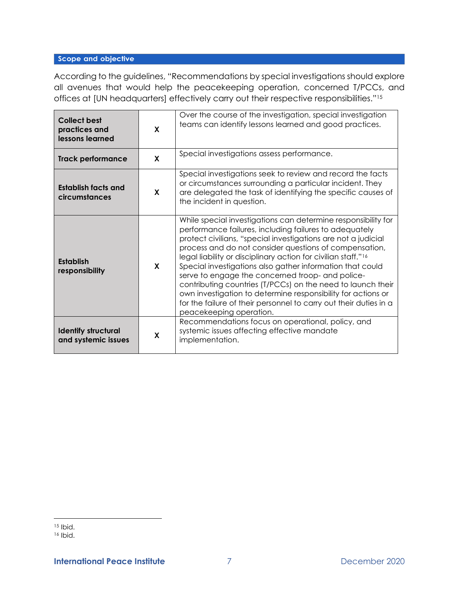## Scope and objective

According to the guidelines, "Recommendations by special investigations should explore all avenues that would help the peacekeeping operation, concerned T/PCCs, and offices at [UN headquarters] effectively carry out their respective responsibilities."<sup>15</sup>

| <b>Collect best</b><br>practices and<br>lessons learned | X | Over the course of the investigation, special investigation<br>teams can identify lessons learned and good practices.                                                                                                                                                                                                                                                                                                                                                                                                                                                                                                                                                           |
|---------------------------------------------------------|---|---------------------------------------------------------------------------------------------------------------------------------------------------------------------------------------------------------------------------------------------------------------------------------------------------------------------------------------------------------------------------------------------------------------------------------------------------------------------------------------------------------------------------------------------------------------------------------------------------------------------------------------------------------------------------------|
| <b>Track performance</b>                                | X | Special investigations assess performance.                                                                                                                                                                                                                                                                                                                                                                                                                                                                                                                                                                                                                                      |
| Establish facts and<br>circumstances                    | X | Special investigations seek to review and record the facts<br>or circumstances surrounding a particular incident. They<br>are delegated the task of identifying the specific causes of<br>the incident in question.                                                                                                                                                                                                                                                                                                                                                                                                                                                             |
| <b>Establish</b><br>responsibility                      | X | While special investigations can determine responsibility for<br>performance failures, including failures to adequately<br>protect civilians, "special investigations are not a judicial<br>process and do not consider questions of compensation,<br>legal liability or disciplinary action for civilian staff." <sup>16</sup><br>Special investigations also gather information that could<br>serve to engage the concerned troop- and police-<br>contributing countries (T/PCCs) on the need to launch their<br>own investigation to determine responsibility for actions or<br>for the failure of their personnel to carry out their duties in a<br>peacekeeping operation. |
| <b>Identify structural</b><br>and systemic issues       | X | Recommendations focus on operational, policy, and<br>systemic issues affecting effective mandate<br>implementation.                                                                                                                                                                                                                                                                                                                                                                                                                                                                                                                                                             |

<sup>15</sup> Ibid.

<sup>16</sup> Ibid.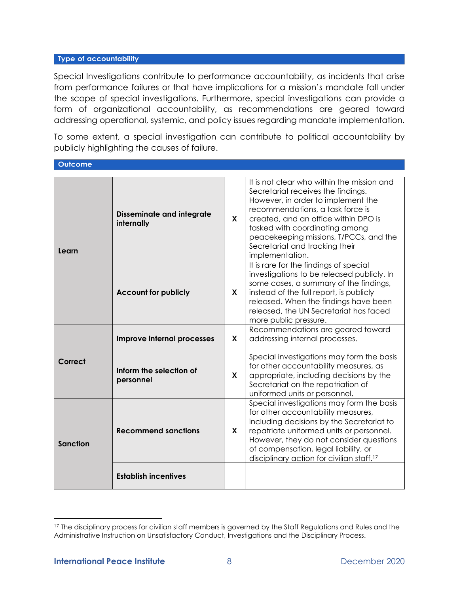## Type of accountability

Special Investigations contribute to performance accountability, as incidents that arise from performance failures or that have implications for a mission's mandate fall under the scope of special investigations. Furthermore, special investigations can provide a form of organizational accountability, as recommendations are geared toward addressing operational, systemic, and policy issues regarding mandate implementation.

To some extent, a special investigation can contribute to political accountability by publicly highlighting the causes of failure.

**Outcome** 

| Learn    | <b>Disseminate and integrate</b><br>internally | X | It is not clear who within the mission and<br>Secretariat receives the findings.<br>However, in order to implement the<br>recommendations, a task force is<br>created, and an office within DPO is<br>tasked with coordinating among<br>peacekeeping missions, T/PCCs, and the<br>Secretariat and tracking their<br>implementation. |
|----------|------------------------------------------------|---|-------------------------------------------------------------------------------------------------------------------------------------------------------------------------------------------------------------------------------------------------------------------------------------------------------------------------------------|
|          | <b>Account for publicly</b>                    | X | It is rare for the findings of special<br>investigations to be released publicly. In<br>some cases, a summary of the findings,<br>instead of the full report, is publicly<br>released. When the findings have been<br>released, the UN Secretariat has faced<br>more public pressure.                                               |
| Correct  | Improve internal processes                     | X | Recommendations are geared toward<br>addressing internal processes.                                                                                                                                                                                                                                                                 |
|          | Inform the selection of<br>personnel           | X | Special investigations may form the basis<br>for other accountability measures, as<br>appropriate, including decisions by the<br>Secretariat on the repatriation of<br>uniformed units or personnel.                                                                                                                                |
| Sanction | <b>Recommend sanctions</b>                     |   | Special investigations may form the basis<br>for other accountability measures,<br>including decisions by the Secretariat to<br>repatriate uniformed units or personnel.<br>However, they do not consider questions<br>of compensation, legal liability, or<br>disciplinary action for civilian staff. <sup>17</sup>                |
|          | <b>Establish incentives</b>                    |   |                                                                                                                                                                                                                                                                                                                                     |

<sup>&</sup>lt;sup>17</sup> The disciplinary process for civilian staff members is governed by the Staff Regulations and Rules and the Administrative Instruction on Unsatisfactory Conduct, Investigations and the Disciplinary Process.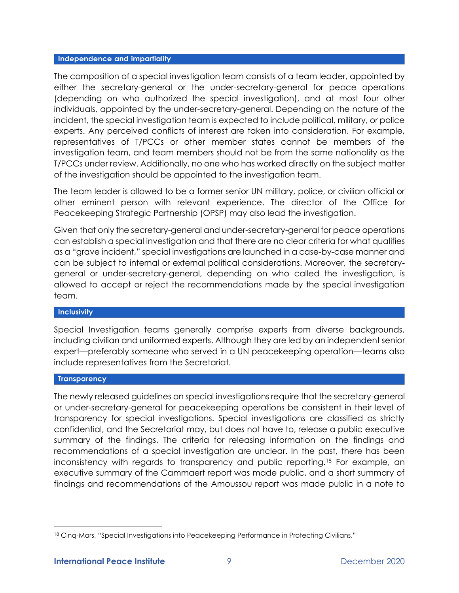## Independence and impartiality

The composition of a special investigation team consists of a team leader, appointed by either the secretary-general or the under-secretary-general for peace operations (depending on who authorized the special investigation), and at most four other individuals, appointed by the under-secretary-general. Depending on the nature of the incident, the special investigation team is expected to include political, military, or police experts. Any perceived conflicts of interest are taken into consideration. For example, representatives of T/PCCs or other member states cannot be members of the investigation team, and team members should not be from the same nationality as the T/PCCs under review. Additionally, no one who has worked directly on the subject matter of the investigation should be appointed to the investigation team.

The team leader is allowed to be a former senior UN military, police, or civilian official or other eminent person with relevant experience. The director of the Office for Peacekeeping Strategic Partnership (OPSP) may also lead the investigation.

Given that only the secretary-general and under-secretary-general for peace operations can establish a special investigation and that there are no clear criteria for what qualifies as a "grave incident," special investigations are launched in a case-by-case manner and can be subject to internal or external political considerations. Moreover, the secretarygeneral or under-secretary-general, depending on who called the investigation, is allowed to accept or reject the recommendations made by the special investigation team.

## **Inclusivity**

Special Investigation teams generally comprise experts from diverse backgrounds, including civilian and uniformed experts. Although they are led by an independent senior expert—preferably someone who served in a UN peacekeeping operation—teams also include representatives from the Secretariat.

## **Transparency**

The newly released guidelines on special investigations require that the secretary-general or under-secretary-general for peacekeeping operations be consistent in their level of transparency for special investigations. Special investigations are classified as strictly confidential, and the Secretariat may, but does not have to, release a public executive summary of the findings. The criteria for releasing information on the findings and recommendations of a special investigation are unclear. In the past, there has been inconsistency with regards to transparency and public reporting.<sup>18</sup> For example, an executive summary of the Cammaert report was made public, and a short summary of findings and recommendations of the Amoussou report was made public in a note to

<sup>&</sup>lt;sup>18</sup> Cinq-Mars, "Special Investigations into Peacekeeping Performance in Protecting Civilians."